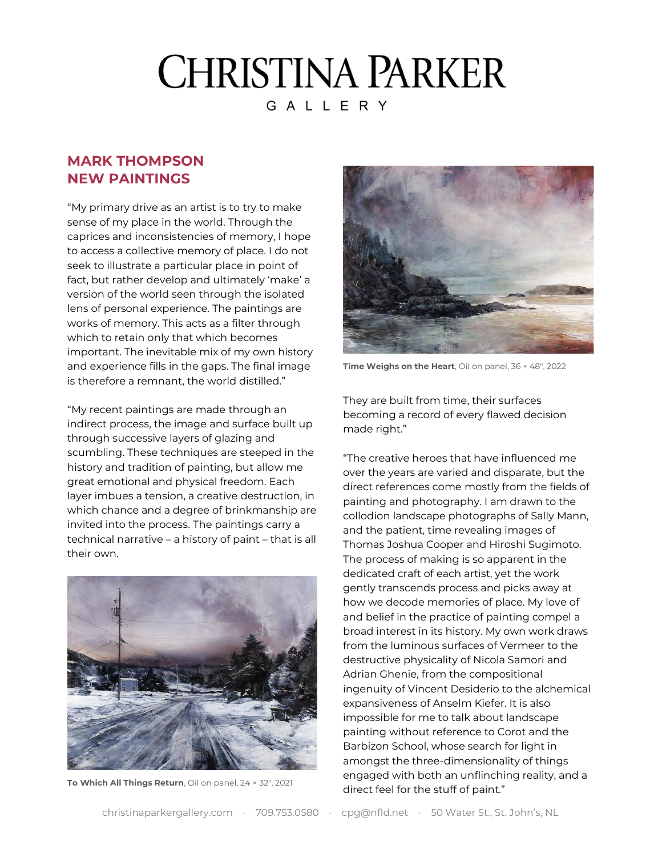## **CHRISTINA PARKER** GALLERY

## **MARK THOMPSON NEW PAINTINGS**

"My primary drive as an artist is to try to make sense of my place in the world. Through the caprices and inconsistencies of memory, I hope to access a collective memory of place. I do not seek to illustrate a particular place in point of fact, but rather develop and ultimately 'make' a version of the world seen through the isolated lens of personal experience. The paintings are works of memory. This acts as a filter through which to retain only that which becomes important. The inevitable mix of my own history and experience fills in the gaps. The final image is therefore a remnant, the world distilled."

"My recent paintings are made through an indirect process, the image and surface built up through successive layers of glazing and scumbling. These techniques are steeped in the history and tradition of painting, but allow me great emotional and physical freedom. Each layer imbues a tension, a creative destruction, in which chance and a degree of brinkmanship are invited into the process. The paintings carry a technical narrative – a history of paint – that is all their own.



**To Which All Things Return**, Oil on panel, 24 × 32″, 2021



**Time Weighs on the Heart**, Oil on panel, 36 × 48″, 2022

They are built from time, their surfaces becoming a record of every flawed decision made right."

"The creative heroes that have influenced me over the years are varied and disparate, but the direct references come mostly from the fields of painting and photography. I am drawn to the collodion landscape photographs of Sally Mann, and the patient, time revealing images of Thomas Joshua Cooper and Hiroshi Sugimoto. The process of making is so apparent in the dedicated craft of each artist, yet the work gently transcends process and picks away at how we decode memories of place. My love of and belief in the practice of painting compel a broad interest in its history. My own work draws from the luminous surfaces of Vermeer to the destructive physicality of Nicola Samori and Adrian Ghenie, from the compositional ingenuity of Vincent Desiderio to the alchemical expansiveness of Anselm Kiefer. It is also impossible for me to talk about landscape painting without reference to Corot and the Barbizon School, whose search for light in amongst the three-dimensionality of things engaged with both an unflinching reality, and a direct feel for the stuff of paint."